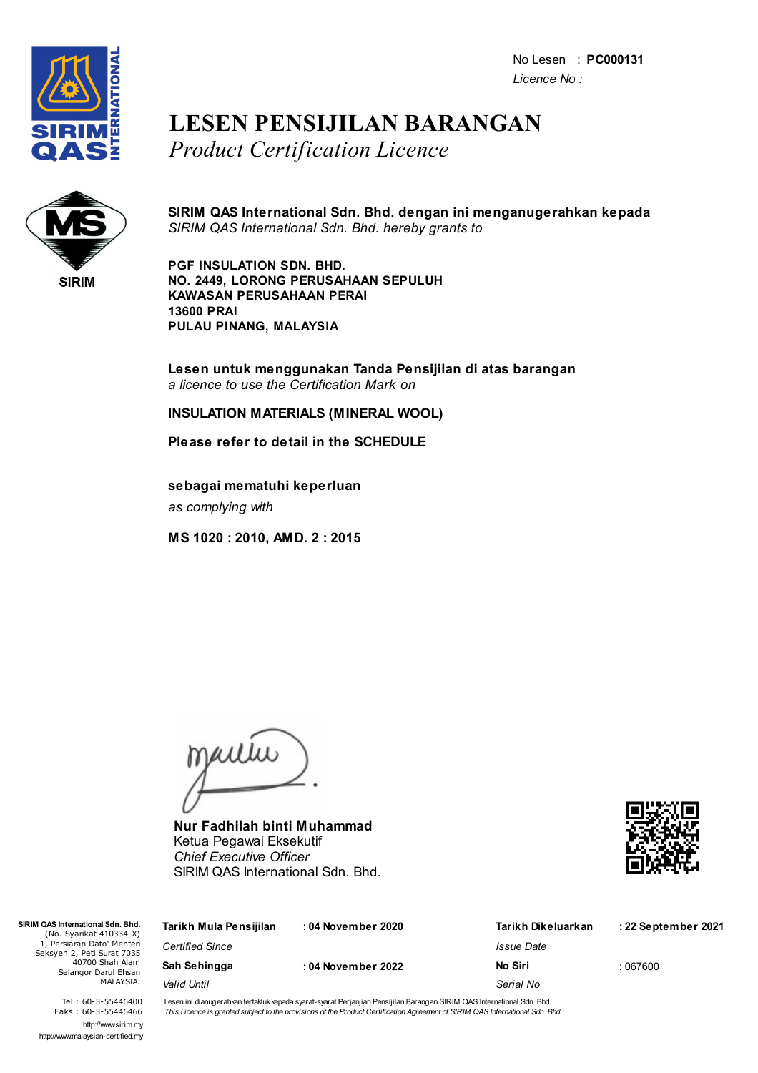No Lesen : **PC000131** *Licence No :*



## **LESEN PENSIJILAN BARANGAN** *Product Certification Licence*



**SIRIM QAS International Sdn. Bhd. dengan ini menganugerahkan kepada** *SIRIM QAS International Sdn. Bhd. hereby grants to*

**PGF INSULATION SDN. BHD. NO. 2449, LORONG PERUSAHAAN SEPULUH KAWASAN PERUSAHAAN PERAI 13600 PRAI PULAU PINANG, MALAYSIA**

**Lesen untuk menggunakan Tanda Pensijilan di atas barangan** *a licence to use the Certification Mark on*

**INSULATION MATERIALS (MINERAL WOOL)**

**Please refer to detail in the SCHEDULE**

**sebagai mematuhi keperluan** *as complying with*

**MS 1020 : 2010, AMD. 2 : 2015**

jailie

**Nur Fadhilah binti Muhammad** Ketua Pegawai Eksekutif *Chief Executive Officer* SIRIM QAS International Sdn. Bhd.



| SIRIM QAS International Sdn. Bhd.<br>(No. Syarikat 410334-X)                                                     | Tarikh Mula Pensijilan | : 04 November 2020 | Tarikh Dikeluarkan       | : 22 September 2021 |
|------------------------------------------------------------------------------------------------------------------|------------------------|--------------------|--------------------------|---------------------|
| 1, Persiaran Dato' Menteri<br>Seksyen 2, Peti Surat 7035<br>40700 Shah Alam<br>Selangor Darul Ehsan<br>MALAYSIA. | <b>Certified Since</b> |                    | <i><b>Issue Date</b></i> |                     |
|                                                                                                                  | Sah Sehingga           | : 04 November 2022 | No Siri                  | : 067600            |
|                                                                                                                  | Valid Until            |                    | Serial No                |                     |

Tel : 60-3-55446400 Faks : 60-3-55446466 http://www.sirim.my http://www.malaysian-certified.my Lesen ini dianugerahkan tertakluk kepada syarat-syarat Perjanjian Pensijilan Barangan SIRIM QAS International Sdn. Bhd. This Licence is granted subject to the provisions of the Product Certification Agreement of SIRIM QAS International Sdn. Bhd.